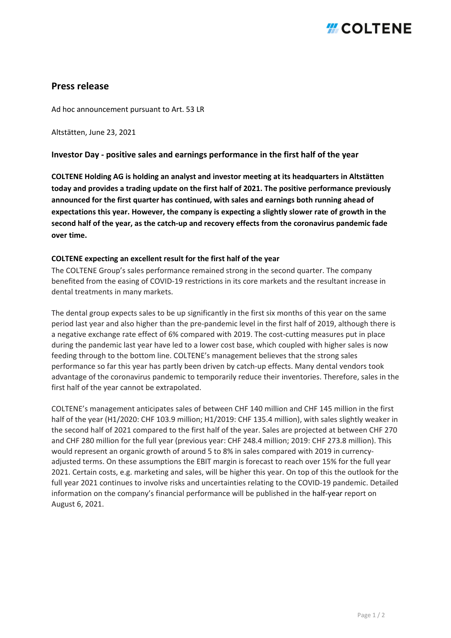## *H* COLTENE

### **Press release**

Ad hoc announcement pursuant to Art. 53 LR

Altstätten, June 23, 2021

### **Investor Day - positive sales and earnings performance in the first half of the year**

**COLTENE Holding AG is holding an analyst and investor meeting at its headquarters in Altstätten today and provides a trading update on the first half of 2021. The positive performance previously announced for the first quarter has continued, with sales and earnings both running ahead of expectations this year. However, the company is expecting a slightly slower rate of growth in the second half of the year, as the catch-up and recovery effects from the coronavirus pandemic fade over time.**

### **COLTENE expecting an excellent result for the first half of the year**

The COLTENE Group's sales performance remained strong in the second quarter. The company benefited from the easing of COVID-19 restrictions in its core markets and the resultant increase in dental treatments in many markets.

The dental group expects sales to be up significantly in the first six months of this year on the same period last year and also higher than the pre-pandemic level in the first half of 2019, although there is a negative exchange rate effect of 6% compared with 2019. The cost-cutting measures put in place during the pandemic last year have led to a lower cost base, which coupled with higher sales is now feeding through to the bottom line. COLTENE's management believes that the strong sales performance so far this year has partly been driven by catch-up effects. Many dental vendors took advantage of the coronavirus pandemic to temporarily reduce their inventories. Therefore, sales in the first half of the year cannot be extrapolated.

COLTENE's management anticipates sales of between CHF 140 million and CHF 145 million in the first half of the year (H1/2020: CHF 103.9 million; H1/2019: CHF 135.4 million), with sales slightly weaker in the second half of 2021 compared to the first half of the year. Sales are projected at between CHF 270 and CHF 280 million for the full year (previous year: CHF 248.4 million; 2019: CHF 273.8 million). This would represent an organic growth of around 5 to 8% in sales compared with 2019 in currencyadjusted terms. On these assumptions the EBIT margin is forecast to reach over 15% for the full year 2021. Certain costs, e.g. marketing and sales, will be higher this year. On top of this the outlook for the full year 2021 continues to involve risks and uncertainties relating to the COVID-19 pandemic. Detailed information on the company's financial performance will be published in the half-year report on August 6, 2021.